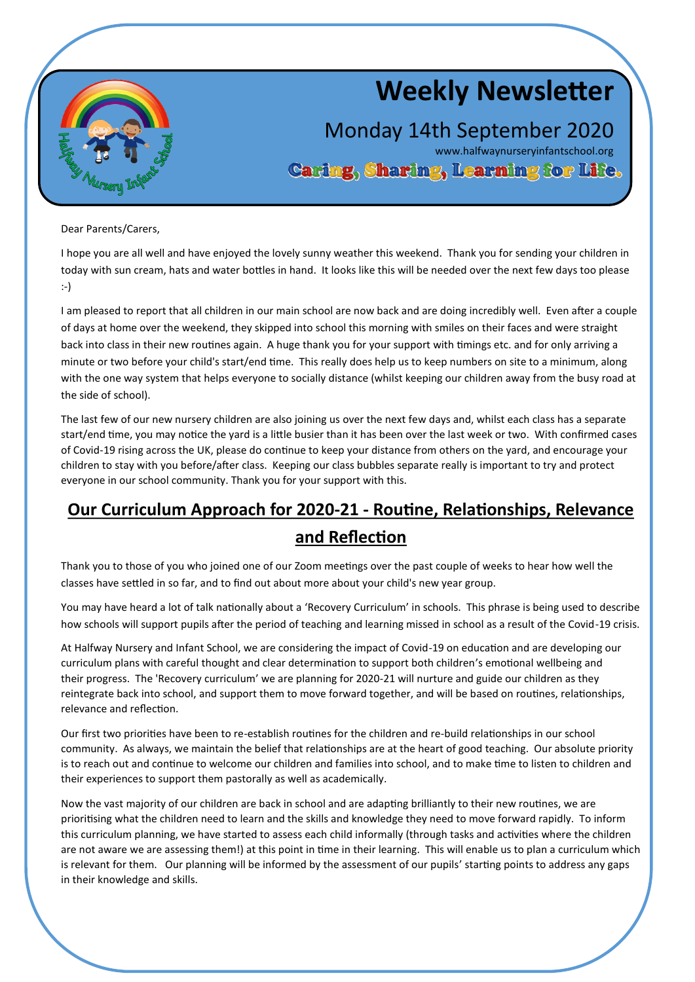

# **Weekly Newsletter**

Monday 14th September 2020

www.halfwaynurseryinfantschool.org<br>Caring, Sharing, Learning for Life.

Dear Parents/Carers,

I hope you are all well and have enjoyed the lovely sunny weather this weekend. Thank you for sending your children in today with sun cream, hats and water bottles in hand. It looks like this will be needed over the next few days too please :-)

I am pleased to report that all children in our main school are now back and are doing incredibly well. Even after a couple of days at home over the weekend, they skipped into school this morning with smiles on their faces and were straight back into class in their new routines again. A huge thank you for your support with timings etc. and for only arriving a minute or two before your child's start/end time. This really does help us to keep numbers on site to a minimum, along with the one way system that helps everyone to socially distance (whilst keeping our children away from the busy road at the side of school).

The last few of our new nursery children are also joining us over the next few days and, whilst each class has a separate start/end time, you may notice the yard is a little busier than it has been over the last week or two. With confirmed cases of Covid-19 rising across the UK, please do continue to keep your distance from others on the yard, and encourage your children to stay with you before/after class. Keeping our class bubbles separate really is important to try and protect everyone in our school community. Thank you for your support with this.

# **Our Curriculum Approach for 2020-21 - Routine, Relationships, Relevance and Reflection**

Thank you to those of you who joined one of our Zoom meetings over the past couple of weeks to hear how well the classes have settled in so far, and to find out about more about your child's new year group.

You may have heard a lot of talk nationally about a 'Recovery Curriculum' in schools. This phrase is being used to describe how schools will support pupils after the period of teaching and learning missed in school as a result of the Covid-19 crisis.

At Halfway Nursery and Infant School, we are considering the impact of Covid-19 on education and are developing our curriculum plans with careful thought and clear determination to support both children's emotional wellbeing and their progress. The 'Recovery curriculum' we are planning for 2020-21 will nurture and guide our children as they reintegrate back into school, and support them to move forward together, and will be based on routines, relationships, relevance and reflection.

Our first two priorities have been to re-establish routines for the children and re-build relationships in our school community. As always, we maintain the belief that relationships are at the heart of good teaching. Our absolute priority is to reach out and continue to welcome our children and families into school, and to make time to listen to children and their experiences to support them pastorally as well as academically.

Now the vast majority of our children are back in school and are adapting brilliantly to their new routines, we are prioritising what the children need to learn and the skills and knowledge they need to move forward rapidly. To inform this curriculum planning, we have started to assess each child informally (through tasks and activities where the children are not aware we are assessing them!) at this point in time in their learning. This will enable us to plan a curriculum which is relevant for them. Our planning will be informed by the assessment of our pupils' starting points to address any gaps in their knowledge and skills.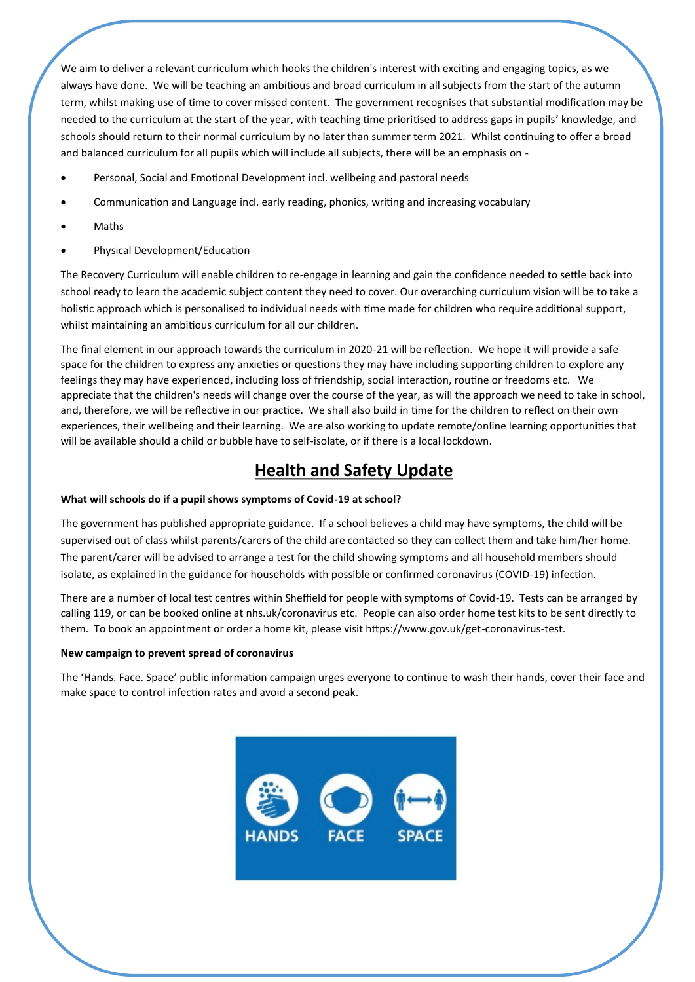We aim to deliver a relevant curriculum which hooks the children's interest with exciting and engaging topics, as we always have done. We will be teaching an ambitious and broad curriculum in all subjects from the start of the autumn term, whilst making use of time to cover missed content. The government recognises that substantial modification may be needed to the curriculum at the start of the year, with teaching time prioritised to address gaps in pupils' knowledge, and schools should return to their normal curriculum by no later than summer term 2021. Whilst continuing to offer a broad and balanced curriculum for all pupils which will include all subjects, there will be an emphasis on -

- Personal, Social and Emotional Development incl. wellbeing and pastoral needs
- Communication and Language incl. early reading, phonics, writing and increasing vocabulary
- Maths
- Physical Development/Education

The Recovery Curriculum will enable children to re-engage in learning and gain the confidence needed to settle back into school ready to learn the academic subject content they need to cover. Our overarching curriculum vision will be to take a holistic approach which is personalised to individual needs with time made for children who require additional support, whilst maintaining an ambitious curriculum for all our children.

The final element in our approach towards the curriculum in 2020-21 will be reflection. We hope it will provide a safe space for the children to express any anxieties or questions they may have including supporting children to explore any feelings they may have experienced, including loss of friendship, social interaction, routine or freedoms etc. We appreciate that the children's needs will change over the course of the year, as will the approach we need to take in school, and, therefore, we will be reflective in our practice. We shall also build in time for the children to reflect on their own experiences, their wellbeing and their learning. We are also working to update remote/online learning opportunities that will be available should a child or bubble have to self-isolate, or if there is a local lockdown.

## **Health and Safety Update**

#### **What will schools do if a pupil shows symptoms of Covid-19 at school?**

The government has published appropriate guidance. If a school believes a child may have symptoms, the child will be supervised out of class whilst parents/carers of the child are contacted so they can collect them and take him/her home. The parent/carer will be advised to arrange a test for the child showing symptoms and all household members should isolate, as explained in the guidance for households with possible or confirmed coronavirus (COVID-19) infection.

There are a number of local test centres within Sheffield for people with symptoms of Covid-19. Tests can be arranged by calling 119, or can be booked online at nhs.uk/coronavirus etc. People can also order home test kits to be sent directly to them. To book an appointment or order a home kit, please visit https://www.gov.uk/get-coronavirus-test.

#### **New campaign to prevent spread of coronavirus**

The 'Hands. Face. Space' public information campaign urges everyone to continue to wash their hands, cover their face and make space to control infection rates and avoid a second peak.

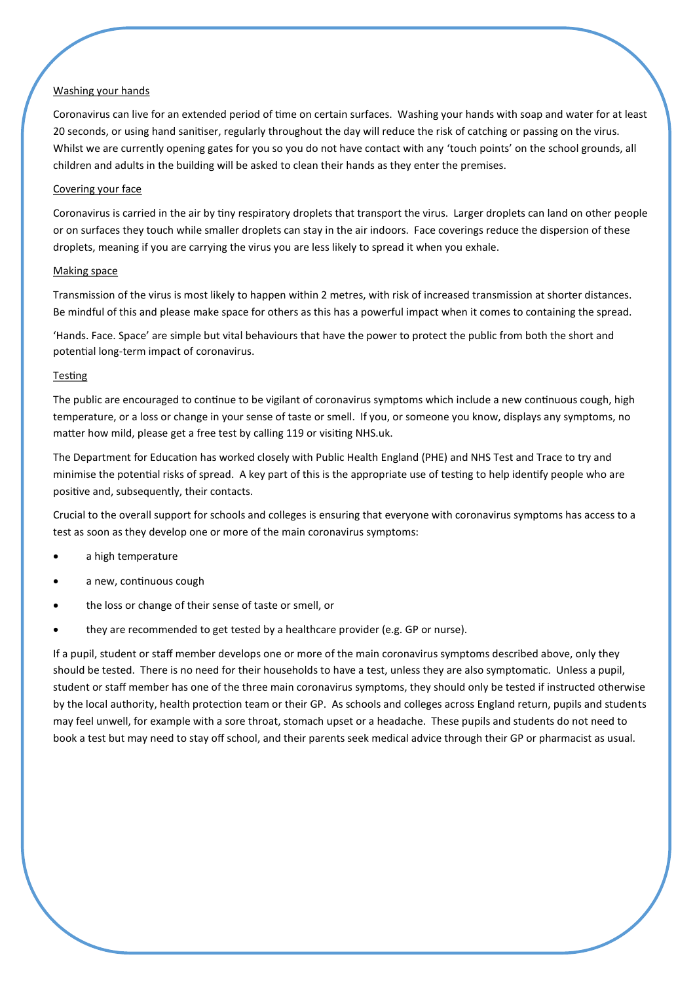#### Washing your hands

Coronavirus can live for an extended period of time on certain surfaces. Washing your hands with soap and water for at least 20 seconds, or using hand sanitiser, regularly throughout the day will reduce the risk of catching or passing on the virus. Whilst we are currently opening gates for you so you do not have contact with any 'touch points' on the school grounds, all children and adults in the building will be asked to clean their hands as they enter the premises.

#### Covering your face

Coronavirus is carried in the air by tiny respiratory droplets that transport the virus. Larger droplets can land on other people or on surfaces they touch while smaller droplets can stay in the air indoors. Face coverings reduce the dispersion of these droplets, meaning if you are carrying the virus you are less likely to spread it when you exhale.

#### Making space

Transmission of the virus is most likely to happen within 2 metres, with risk of increased transmission at shorter distances. Be mindful of this and please make space for others as this has a powerful impact when it comes to containing the spread.

'Hands. Face. Space' are simple but vital behaviours that have the power to protect the public from both the short and potential long-term impact of coronavirus.

#### **Testing**

The public are encouraged to continue to be vigilant of coronavirus symptoms which include a new continuous cough, high temperature, or a loss or change in your sense of taste or smell. If you, or someone you know, displays any symptoms, no matter how mild, please get a free test by calling 119 or visiting NHS.uk.

The Department for Education has worked closely with Public Health England (PHE) and NHS Test and Trace to try and minimise the potential risks of spread. A key part of this is the appropriate use of testing to help identify people who are positive and, subsequently, their contacts.

Crucial to the overall support for schools and colleges is ensuring that everyone with coronavirus symptoms has access to a test as soon as they develop one or more of the main coronavirus symptoms:

- a high temperature
- a new, continuous cough
- the loss or change of their sense of taste or smell, or
- they are recommended to get tested by a healthcare provider (e.g. GP or nurse).

If a pupil, student or staff member develops one or more of the main coronavirus symptoms described above, only they should be tested. There is no need for their households to have a test, unless they are also symptomatic. Unless a pupil, student or staff member has one of the three main coronavirus symptoms, they should only be tested if instructed otherwise by the local authority, health protection team or their GP. As schools and colleges across England return, pupils and students may feel unwell, for example with a sore throat, stomach upset or a headache. These pupils and students do not need to book a test but may need to stay off school, and their parents seek medical advice through their GP or pharmacist as usual.